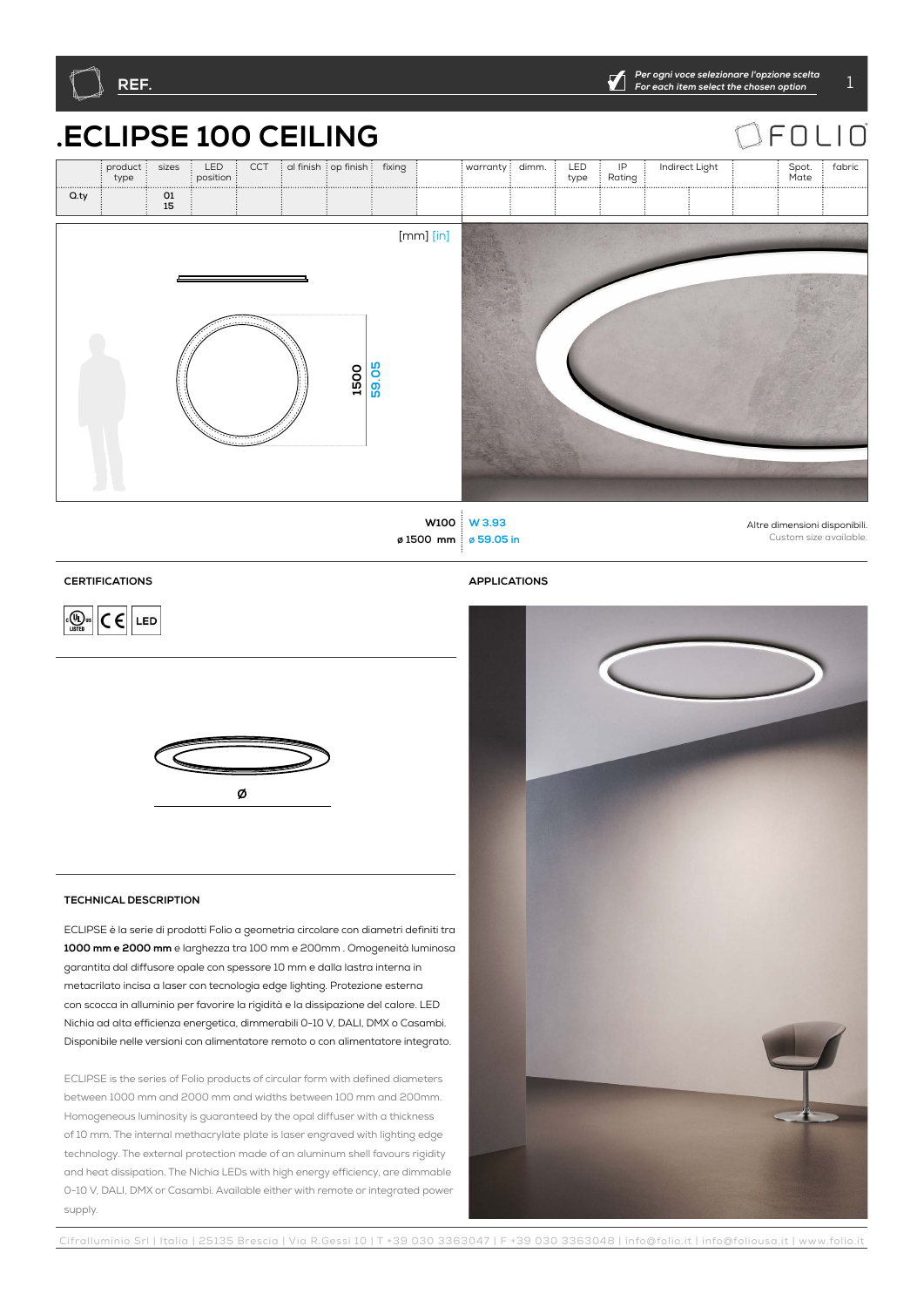

## **CERTIFICATIONS**

 $\boxed{C \in \left[\frac{1}{\sqrt{2}}\right]}$   $C \in \boxed{LED}$ 

**APPLICATIONS**



## **TECHNICAL DESCRIPTION**

ECLIPSE è la serie di prodotti Folio a geometria circolare con diametri definiti tra **1000 mm e 2000 mm** e larghezza tra 100 mm e 200mm . Omogeneità luminosa garantita dal diffusore opale con spessore 10 mm e dalla lastra interna in metacrilato incisa a laser con tecnologia edge lighting. Protezione esterna con scocca in alluminio per favorire la rigidità e la dissipazione del calore. LED Nichia ad alta efficienza energetica, dimmerabili 0-10 V, DALI, DMX o Casambi. Disponibile nelle versioni con alimentatore remoto o con alimentatore integrato.

ECLIPSE is the series of Folio products of circular form with defined diameters between 1000 mm and 2000 mm and widths between 100 mm and 200mm. Homogeneous luminosity is guaranteed by the opal diffuser with a thickness of 10 mm. The internal methacrylate plate is laser engraved with lighting edge technology. The external protection made of an aluminum shell favours rigidity and heat dissipation. The Nichia LEDs with high energy efficiency, are dimmable 0-10 V, DALI, DMX or Casambi. Available either with remote or integrated power supply.

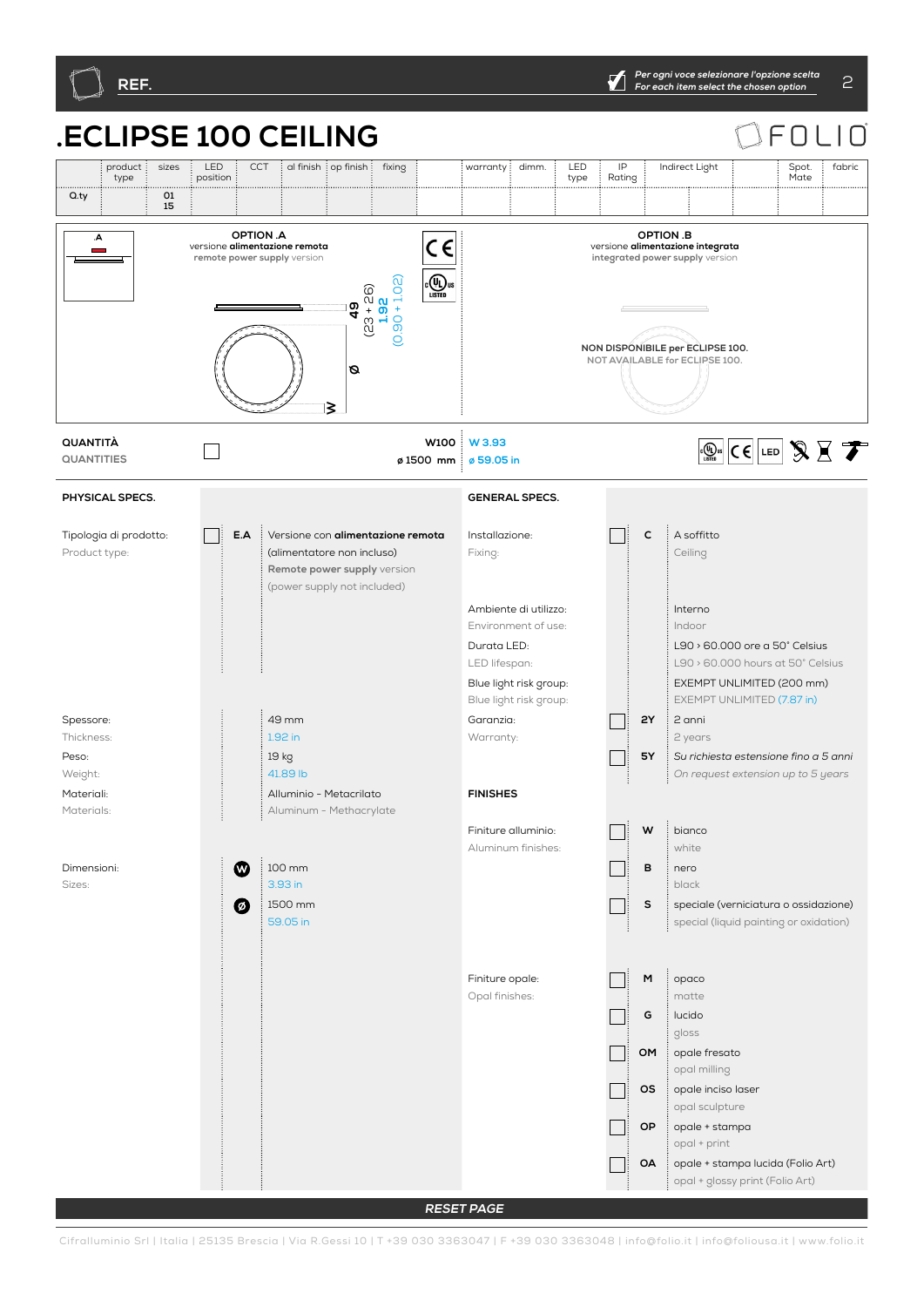

**RESET PAGE**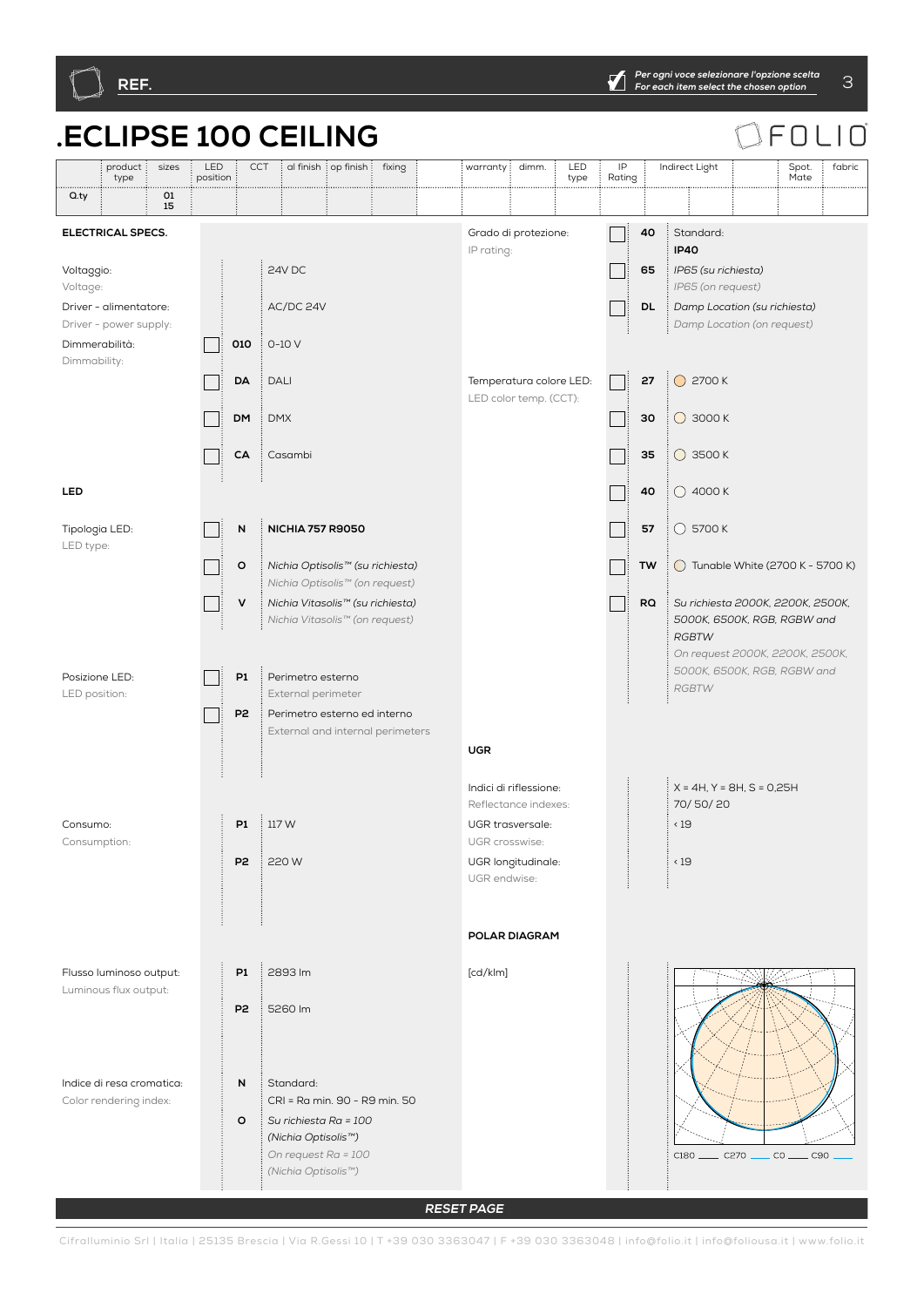

**RESET PAGE**